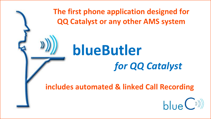

**The first phone application designed for QQ Catalyst or any other AMS system**

# **blueButler** *for QQ Catalyst*

**includes automated & linked Call Recording**

 $h\mu(e^{(\lambda)})$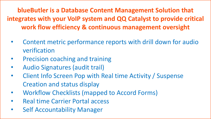**blueButler is a Database Content Management Solution that integrates with your VoIP system and QQ Catalyst to provide critical work flow efficiency & continuous management oversight**

- Content metric performance reports with drill down for audio verification
- Precision coaching and training
- Audio Signatures (audit trail)
- Client Info Screen Pop with Real time Activity / Suspense Creation and status display
- Workflow Checklists (mapped to Accord Forms)
- Real time Carrier Portal access
- Self Accountability Manager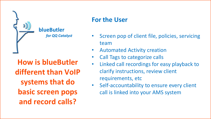

### **blueButler**

*for QQ Catalyst*

**How is blueButler different than VoIP systems that do basic screen pops and record calls?**

## **For the User**

- Screen pop of client file, policies, servicing team
- Automated Activity creation
- Call Tags to categorize calls
- Linked call recordings for easy playback to clarify instructions, review client requirements, etc
- Self-accountability to ensure every client call is linked into your AMS system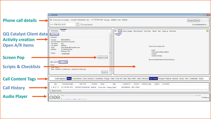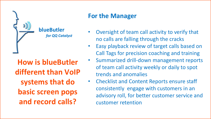

#### **blueButler** *for QQ Catalyst*

**How is blueButler different than VoIP systems that do basic screen pops and record calls?**

## **For the Manager**

- Oversight of team call activity to verify that no calls are falling through the cracks
- Easy playback review of target calls based on Call Tags for precision coaching and training
- Summarized drill-down management reports of team call activity weekly or daily to spot trends and anomalies
- Checklist and Content Reports ensure staff consistently engage with customers in an advisory roll, for better customer service and customer retention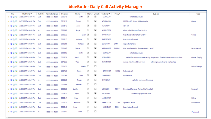#### **blueButler Daily Call Activity Manager**

| Play | Start Time =             | In/Out | <b>Formatted Digits</b> | Duration | Name    | Shared Linked           |                         | Customer # | Policy # | Subject                                                                       | Tags           |
|------|--------------------------|--------|-------------------------|----------|---------|-------------------------|-------------------------|------------|----------|-------------------------------------------------------------------------------|----------------|
| ・星取場 | 2/22/2017 4:37:07 PM     | Out    | 1-555-555-1234          | 00:00:49 | Kristin | $\overline{\vee}$       | ☑                       | CCRACLY01  |          | called about truck                                                            |                |
| ・星功局 | 2/22/2017 4:36:52 PM     | Out    | 1-555-555-1234          | 00:11:10 | Beverly | $\overline{\mathsf{v}}$ | ☑                       | ATHBOCH01  |          | 2016 Ford & delete skidoo inquiry                                             | Quote          |
| ・星功局 | 2/22/2017 4:32:48 PM     | Out    | 1-555-555-1234          | 00:05:43 | Anna    | $\overline{\mathbf{v}}$ | ☑                       | ILMORLI01  |          | care call                                                                     |                |
| ・星取場 | 2/22/2017 4:30:03 PM     | In     | 1-555-555-1234          | 00:01:08 | Angie   | V                       | ⊽                       | AVENJO001  |          | client called back re Final Notice                                            |                |
| ・星功局 | 2/22/2017 4:29:35 PM     | Out    | 1-555-555-1234          | 00:00:33 | Carol   | $\overline{\mathbf{v}}$ | ☑                       | OULINMA01  |          | Registered Letter eff03/12/2017                                               | Cancel         |
| ・星功局 | 2/22/2017 4:28:30 PM In  |        | 1-555-555-1234          | 00:02:15 | Arianne | V                       | ⊽                       | EARCEDA02  |          | <b>Loss Notice Entered</b>                                                    |                |
| ・星期間 | 2/22/2017 4:28:29 PM     | Out    | 1-555-555-1234          | 00:02:58 | Colleen | $\overline{\mathsf{v}}$ | ☑                       | LENSTA-01  | 2744     | requested photos                                                              |                |
| ・星期間 | 2/22/2017 4:28:12 PM     | Out    | 1-555-555-1234          | 00:01:07 | Shane   | ✓                       | ⊽                       | ARRCH0002  | 218505   | L/M with Dealer for finance details - recd?                                   | Ext-voicemail  |
| ・星期間 | 2/22/2017 4:27:18 PM     | Out    | 1-555-555-1234          | 00:06:52 | Kristin | $\overline{\mathsf{v}}$ | ☑                       | CCRACLY01  |          | called about truck                                                            |                |
| 人名瑞典 | 2/22/2017 4:26:46 PM Out |        | 1-555-555-1234          | 00:08:38 | Heidi   | $\checkmark$            | ⊽                       | OTELHER01  |          | called for auto quote, referred by his parents. Emailed him a auto quote form | Quote, Enquiry |
| ・星取場 | 2/22/2017 4:26:06 PM     | Out    | 1-555-555-1234          | 00:12:23 | Vicki   | $\overline{\mathsf{v}}$ | ☑                       | RAYAN0001  |          | Added attachment Email from<br>advising insured wants me to shop              |                |
| ・星取場 | 2/22/2017 4:25:06 PM     | Out    | 1-555-555-1234          | 00:01:30 | Marie   | □                       | □                       |            |          |                                                                               | Policy Change  |
| ・星期間 | 2/22/2017 4:24:09 PM Out |        | 1-555-555-1234          | 00:04:26 | Robyn   | $\overline{\mathsf{v}}$ | ☑                       | BMECH-01   | R8583    | Returned call                                                                 |                |
| ・星功福 | 2/22/2017 4:23:26 PM     | Out    | 1-555-555-1234          | 00:00:49 | Kristin | $\overline{\mathsf{v}}$ | ⊽                       | OCKETBR01  |          | o/s balance                                                                   |                |
| ・星取場 | 2/22/2017 4:23:17 PM In  |        | 1-555-555-1234          | 00:05:25 | Tracey  | $\checkmark$            | ⊽                       | DEYALIA01  |          | called in re: renewal increase                                                |                |
| ・星期間 | 2/22/2017 4:22:15 PM     | Out    | 1-555-555-1234          | 00:01:48 | Heather | $\Box$                  | □                       |            |          |                                                                               |                |
| ▶물만隔 | 2/22/2017 4:22:09 PM Out |        | 1-555-555-1234          | 00:09:28 | Lucille | $\checkmark$            | ⊽                       | UCILLLE01  | 18017    | Download Renewal-Review File/Care Call                                        | Renewal        |
| ・星取場 | 2/22/2017 4:21:54 PM     | In     | 1-555-555-1234          | 00:03:20 | Shylia  | $\overline{\checkmark}$ | $\overline{\mathbf{v}}$ | IMONLI001  |          | called in reg: possible claim                                                 |                |
| ・星功局 | 2/22/2017 4:20:44 PM     | Out    | 1-555-555-1234          | 00:00:41 | Kristy  | $\checkmark$            | ⊽                       | AGGLUIN01  |          |                                                                               | Billing        |
| ・星期間 | 2/22/2017 4:20:21 PM     | Out    | 1-555-555-1234          | 00:02:10 | Brandon | $\overline{\checkmark}$ | ⊽                       | ARRELQU01  | 71284    | Spoke w/ Jessie                                                               | Underwriter    |
| ・星取場 | 2/22/2017 4:19:20 PM Out |        | 1-555-555-1234          | 00:00:48 | Irene   | $\checkmark$            | ⊽                       | IACEKDA01  | 3563     | <b>Loss Notice Entered</b>                                                    |                |
| ・星取場 | 2/22/2017 4:18:55 PM     | In     | 1-555-555-1234          | 00:09:47 | Amy     | □                       | □                       |            |          |                                                                               | Personal       |
|      |                          |        |                         |          |         |                         |                         |            |          |                                                                               |                |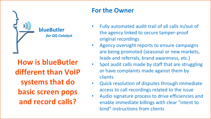

**blueButler** *for QQ Catalyst*

**How is blueButler different than VoIP systems that do basic screen pops and record calls?**

## **For the Owner**

- Fully automated audit trail of all calls in/out of the agency linked to secure tamper-proof original recordings
- Agency oversight reports to ensure campaigns are being promoted (seasonal or new markets, leads and referrals, brand awareness, etc.)
- Spot audit calls made by staff that are struggling or have complaints made against them by clients
- Quick resolution of disputes through immediate access to call recordings related to the issue
- Audio signature process to drive efficiencies and enable immediate billings with clear "intent to bind" instructions from clients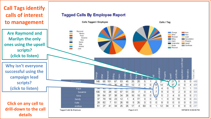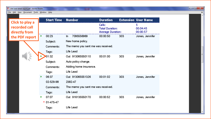File Edit View Document Tools Window Help

| <b>Number</b>                                   | <b>Duration</b>                  |     | <b>Extension User Name</b> |  |  |  |  |  |
|-------------------------------------------------|----------------------------------|-----|----------------------------|--|--|--|--|--|
|                                                 | Calls:<br><b>Total Duration:</b> |     | 5<br>00:04:45<br>00:00:57  |  |  |  |  |  |
| 7095556969<br>In.                               | 00:00:50                         | 303 | Jones, Jennifer            |  |  |  |  |  |
| New home policy.                                |                                  |     |                            |  |  |  |  |  |
| The memo you sent me was received.<br>Comments: |                                  |     |                            |  |  |  |  |  |
| Life Lead<br>Tags:                              |                                  |     |                            |  |  |  |  |  |
| Out 913065550110                                | 00:01:00                         | 303 | Jones, Jennifer            |  |  |  |  |  |
| Subject:<br>Auto policy change.                 |                                  |     |                            |  |  |  |  |  |
| Adding home insurance.                          |                                  |     |                            |  |  |  |  |  |
| Life Lead                                       |                                  |     |                            |  |  |  |  |  |
| Out 913065551326                                | 00:01:02                         | 303 | Jones, Jennifer            |  |  |  |  |  |
| 2382-47                                         |                                  |     |                            |  |  |  |  |  |
| The memo you sent me was received.<br>Comments: |                                  |     |                            |  |  |  |  |  |
| Life Lead                                       |                                  |     |                            |  |  |  |  |  |
| Out 916135550170                                | 00:00:52                         | 303 | Jones, Jennifer            |  |  |  |  |  |
|                                                 |                                  |     |                            |  |  |  |  |  |
| Life Lead                                       |                                  |     |                            |  |  |  |  |  |
|                                                 |                                  |     | <b>Average Duration:</b>   |  |  |  |  |  |

 $\begin{array}{|c|c|c|c|c|}\hline \multicolumn{1}{|c|}{-}&\multicolumn{1}{|c|}{-}&\multicolumn{1}{|c|}{x}\hline \end{array}$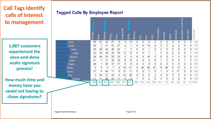## **Call Tags identify calls of interest to management**

**1,887 customers experienced the once-and-done audio signature process!**

**How much time and money have you saved not having to chase signatures?**

#### **Tagged Calls By Employee Report**

|               | Change | other | Renewal | <b>Silling</b> | Claim | <b>Underwriter</b> | giote<br>Ouote | Personal | <b>Auto</b> | New | <u>lead</u> | Cancellation | Property       | 。              | Certificate | Application Confirmed | Telematics     | Total Calls |
|---------------|--------|-------|---------|----------------|-------|--------------------|----------------|----------|-------------|-----|-------------|--------------|----------------|----------------|-------------|-----------------------|----------------|-------------|
| , Judy        | 69     | 61    | 42      | 27             | 8     | 3                  | 13             | 5        | 0           | 0   | 2           | 0            | 0              | $\overline{0}$ | 0           | $\overline{0}$        | $\overline{0}$ | 230         |
| Karen         | 65     | 2     | 41      | 31             | 27    | $\overline{0}$     | 1              | 0        | 0           | 10  | 0           | 2            | 0              | 0              | 0           | 0                     | $\overline{0}$ | 178         |
| Linda         | 40     | 28    | 43      | 30             | 32    | 1                  | 2              | 0        | 0           | 1   | 0           | 2            | 0              | $\Box$         | 0           | 0                     | $\overline{0}$ | 176         |
| i, Cathy      | 22     | 24    | 38      | 25             | 30    | 12                 | 12             | 0        | 0           | 1   | 1           | 2            | $\overline{0}$ | 0              | 0           | $\overline{0}$        | 1              | 165         |
| , Sharon      | 36     | 49    | 24      | 20             | 10    | $\overline{0}$     | 0              | 6        | 0           | 16  | 0           | 0            | 0              | $\overline{0}$ | 0           | 0                     | 0              | 161         |
| Karen         | 51     | 2     | 31      | 35             | 16    | $\overline{0}$     | 12             | 4        | 0           | 4   | 0           | 1            | 0              | 0              | 0           | 1                     | 0              | 157         |
| , Ralph       | 46     | 1     | 25      | 37             | 17    | $\overline{0}$     | 8              | 0        | $\Box$      | 9   | 0           | 6            | $\overline{0}$ | $\Box$         | 0           | 0                     | 0              | 147         |
| Sandy         | 5      | 0     | 4       | 7              | 0     | 18                 | 31             | 0        | 45          | 58  | 57          | 0            | 38             | 0              | 0           | 4                     | 0              | 141         |
| <b>Kurtis</b> | 27     | 0     | 40      | 11             | 9     | 21                 | 11             | 0        | 0           | 2   | 0           | 1            | 0              | 0              | 17          | 0                     | 0              | 136         |
| , Duy         | 3      | 44    | 27      | 20             | 5     | 22                 | 50             | 0        | 0           | 0   | 2           | 4            | 0              | 0              | 0           | 4                     | 0              | 129         |
| Adriana       | 11     | 11    | 35      | 24             | 11    | 5.                 | З              | 1        | $\Omega$    | 0   | Ω           | 3            | $\Omega$       | Ω              | 0           | 0                     | 0              | 103         |
|               | 939    | 797   | 671     | 618            | 454   | 371                | 277            | 169      | 34          | 124 | 108         | 101          | 75             | 65             | 40          | 20                    | 11             | 4241        |